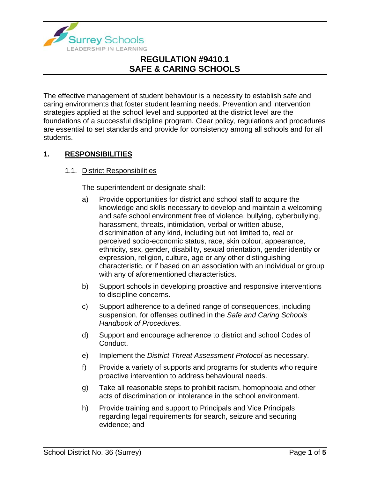

The effective management of student behaviour is a necessity to establish safe and caring environments that foster student learning needs. Prevention and intervention strategies applied at the school level and supported at the district level are the foundations of a successful discipline program. Clear policy, regulations and procedures are essential to set standards and provide for consistency among all schools and for all students.

### **1. RESPONSIBILITIES**

#### 1.1. District Responsibilities

The superintendent or designate shall:

- a) Provide opportunities for district and school staff to acquire the knowledge and skills necessary to develop and maintain a welcoming and safe school environment free of violence, bullying, cyberbullying, harassment, threats, intimidation, verbal or written abuse, discrimination of any kind, including but not limited to, real or perceived socio-economic status, race, skin colour, appearance, ethnicity, sex, gender, disability, sexual orientation, gender identity or expression, religion, culture, age or any other distinguishing characteristic, or if based on an association with an individual or group with any of aforementioned characteristics.
- b) Support schools in developing proactive and responsive interventions to discipline concerns.
- c) Support adherence to a defined range of consequences, including suspension, for offenses outlined in the *Safe and Caring Schools Handbook of Procedures.*
- d) Support and encourage adherence to district and school Codes of Conduct.
- e) Implement the *District Threat Assessment Protocol* as necessary.
- f) Provide a variety of supports and programs for students who require proactive intervention to address behavioural needs.
- g) Take all reasonable steps to prohibit racism, homophobia and other acts of discrimination or intolerance in the school environment.
- h) Provide training and support to Principals and Vice Principals regarding legal requirements for search, seizure and securing evidence; and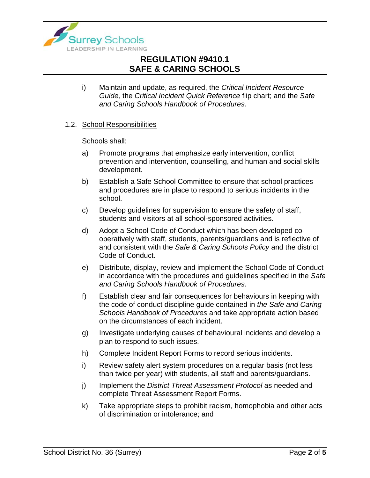

i) Maintain and update, as required, the *Critical Incident Resource Guide,* the *Critical Incident Quick Reference* flip chart; and the *Safe and Caring Schools Handbook of Procedures.*

#### 1.2. School Responsibilities

Schools shall:

- a) Promote programs that emphasize early intervention, conflict prevention and intervention, counselling, and human and social skills development.
- b) Establish a Safe School Committee to ensure that school practices and procedures are in place to respond to serious incidents in the school.
- c) Develop guidelines for supervision to ensure the safety of staff, students and visitors at all school-sponsored activities.
- d) Adopt a School Code of Conduct which has been developed cooperatively with staff, students, parents/guardians and is reflective of and consistent with the *Safe & Caring Schools Policy* and the district Code of Conduct.
- e) Distribute, display, review and implement the School Code of Conduct in accordance with the procedures and guidelines specified in the *Safe and Caring Schools Handbook of Procedures.*
- f) Establish clear and fair consequences for behaviours in keeping with the code of conduct discipline guide contained in *the Safe and Caring Schools Handbook of Procedures* and take appropriate action based on the circumstances of each incident.
- g) Investigate underlying causes of behavioural incidents and develop a plan to respond to such issues.
- h) Complete Incident Report Forms to record serious incidents.
- i) Review safety alert system procedures on a regular basis (not less than twice per year) with students, all staff and parents/guardians.
- j) Implement the *District Threat Assessment Protocol* as needed and complete Threat Assessment Report Forms.
- k) Take appropriate steps to prohibit racism, homophobia and other acts of discrimination or intolerance; and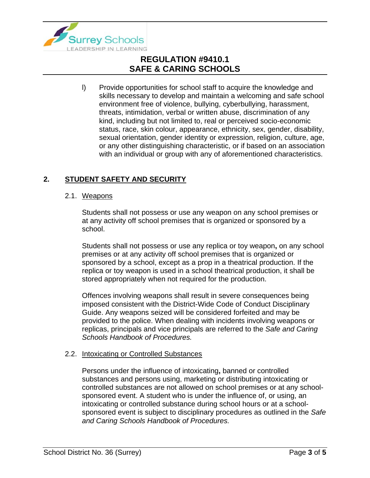

l) Provide opportunities for school staff to acquire the knowledge and skills necessary to develop and maintain a welcoming and safe school environment free of violence, bullying, cyberbullying, harassment, threats, intimidation, verbal or written abuse, discrimination of any kind, including but not limited to, real or perceived socio-economic status, race, skin colour, appearance, ethnicity, sex, gender, disability, sexual orientation, gender identity or expression, religion, culture, age, or any other distinguishing characteristic, or if based on an association with an individual or group with any of aforementioned characteristics.

### **2. STUDENT SAFETY AND SECURITY**

#### 2.1. Weapons

Students shall not possess or use any weapon on any school premises or at any activity off school premises that is organized or sponsored by a school.

Students shall not possess or use any replica or toy weapon**,** on any school premises or at any activity off school premises that is organized or sponsored by a school, except as a prop in a theatrical production. If the replica or toy weapon is used in a school theatrical production, it shall be stored appropriately when not required for the production.

Offences involving weapons shall result in severe consequences being imposed consistent with the District-Wide Code of Conduct Disciplinary Guide. Any weapons seized will be considered forfeited and may be provided to the police. When dealing with incidents involving weapons or replicas, principals and vice principals are referred to the *Safe and Caring Schools Handbook of Procedures.*

#### 2.2. Intoxicating or Controlled Substances

Persons under the influence of intoxicating**,** banned or controlled substances and persons using, marketing or distributing intoxicating or controlled substances are not allowed on school premises or at any schoolsponsored event. A student who is under the influence of, or using, an intoxicating or controlled substance during school hours or at a schoolsponsored event is subject to disciplinary procedures as outlined in the *Safe and Caring Schools Handbook of Procedures.*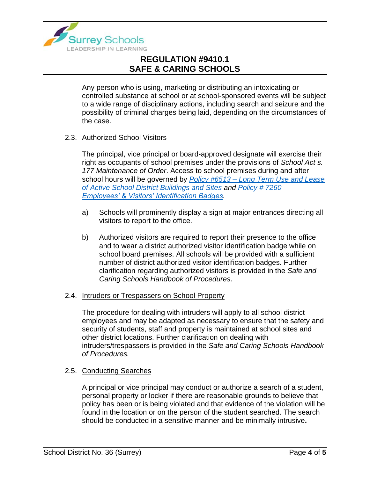

Any person who is using, marketing or distributing an intoxicating or controlled substance at school or at school-sponsored events will be subject to a wide range of disciplinary actions, including search and seizure and the possibility of criminal charges being laid, depending on the circumstances of the case.

#### 2.3. Authorized School Visitors

The principal, vice principal or board-approved designate will exercise their right as occupants of school premises under the provisions of *School Act s. 177 Maintenance of Order*. Access to school premises during and after school hours will be governed by *Policy #6513 – [Long Term Use and Lease](https://www.surreyschools.ca/departments/SECT/PoliciesRegulations/section_6000/Documents/6513%20Policy.pdf)  [of Active School District Buildings and Sites](https://www.surreyschools.ca/departments/SECT/PoliciesRegulations/section_6000/Documents/6513%20Policy.pdf) and [Policy # 7260 –](https://www.surreyschools.ca/departments/SECT/PoliciesRegulations/section_7000/Documents/7260%20Policy.pdf) [Employees' & Visitors' Identification Badges.](https://www.surreyschools.ca/departments/SECT/PoliciesRegulations/section_7000/Documents/7260%20Policy.pdf)*

- a) Schools will prominently display a sign at major entrances directing all visitors to report to the office.
- b) Authorized visitors are required to report their presence to the office and to wear a district authorized visitor identification badge while on school board premises. All schools will be provided with a sufficient number of district authorized visitor identification badges. Further clarification regarding authorized visitors is provided in the *Safe and Caring Schools Handbook of Procedures*.

#### 2.4. Intruders or Trespassers on School Property

The procedure for dealing with intruders will apply to all school district employees and may be adapted as necessary to ensure that the safety and security of students, staff and property is maintained at school sites and other district locations. Further clarification on dealing with intruders/trespassers is provided in the *Safe and Caring Schools Handbook of Procedures.*

#### 2.5. Conducting Searches

A principal or vice principal may conduct or authorize a search of a student, personal property or locker if there are reasonable grounds to believe that policy has been or is being violated and that evidence of the violation will be found in the location or on the person of the student searched. The search should be conducted in a sensitive manner and be minimally intrusive**.**